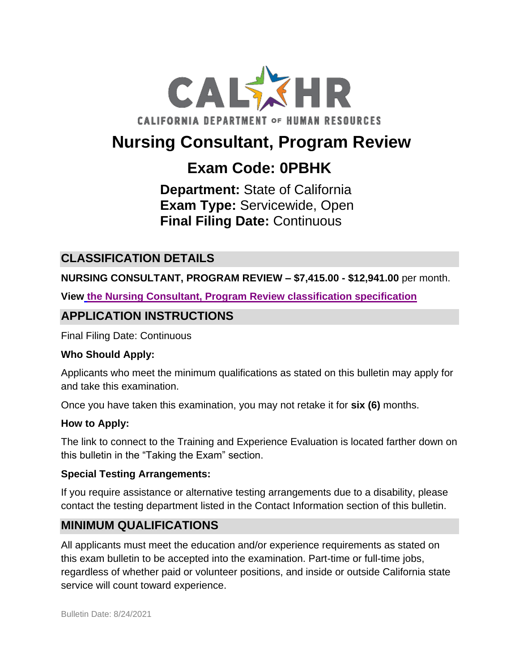

# **Nursing Consultant, Program Review**

## **Exam Code: 0PBHK**

**Department:** State of California **Exam Type:** Servicewide, Open **Final Filing Date:** Continuous

## **CLASSIFICATION DETAILS**

**NURSING CONSULTANT, PROGRAM REVIEW – \$7,415.00 - \$12,941.00** per month.

**View [the Nursing Consultant, Program Review](https://www.calhr.ca.gov/state-hr-professionals/Pages/8327.aspx) classification specification**

#### **APPLICATION INSTRUCTIONS**

Final Filing Date: Continuous

#### **Who Should Apply:**

Applicants who meet the minimum qualifications as stated on this bulletin may apply for and take this examination.

Once you have taken this examination, you may not retake it for **six (6)** months.

#### **How to Apply:**

The link to connect to the Training and Experience Evaluation is located farther down on this bulletin in the "Taking the Exam" section.

#### **Special Testing Arrangements:**

If you require assistance or alternative testing arrangements due to a disability, please contact the testing department listed in the Contact Information section of this bulletin.

## **MINIMUM QUALIFICATIONS**

All applicants must meet the education and/or experience requirements as stated on this exam bulletin to be accepted into the examination. Part-time or full-time jobs, regardless of whether paid or volunteer positions, and inside or outside California state service will count toward experience.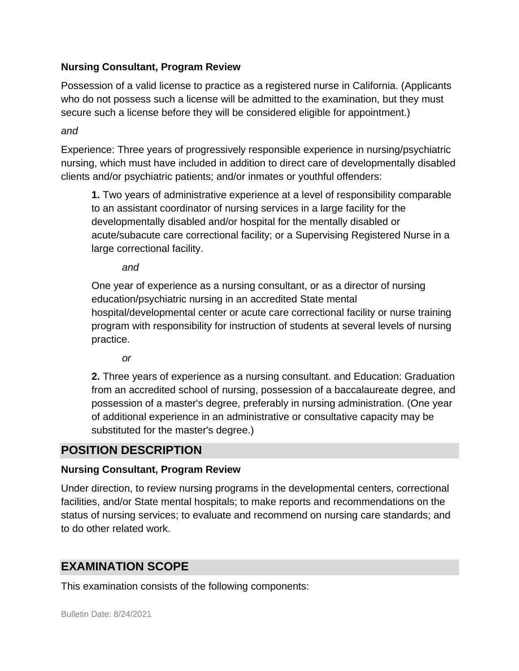#### **Nursing Consultant, Program Review**

Possession of a valid license to practice as a registered nurse in California. (Applicants who do not possess such a license will be admitted to the examination, but they must secure such a license before they will be considered eligible for appointment.)

*and* 

Experience: Three years of progressively responsible experience in nursing/psychiatric nursing, which must have included in addition to direct care of developmentally disabled clients and/or psychiatric patients; and/or inmates or youthful offenders:

**1.** Two years of administrative experience at a level of responsibility comparable to an assistant coordinator of nursing services in a large facility for the developmentally disabled and/or hospital for the mentally disabled or acute/subacute care correctional facility; or a Supervising Registered Nurse in a large correctional facility.

*and*

One year of experience as a nursing consultant, or as a director of nursing education/psychiatric nursing in an accredited State mental hospital/developmental center or acute care correctional facility or nurse training program with responsibility for instruction of students at several levels of nursing practice.

*or* 

**2.** Three years of experience as a nursing consultant. and Education: Graduation from an accredited school of nursing, possession of a baccalaureate degree, and possession of a master's degree, preferably in nursing administration. (One year of additional experience in an administrative or consultative capacity may be substituted for the master's degree.)

## **POSITION DESCRIPTION**

#### **Nursing Consultant, Program Review**

Under direction, to review nursing programs in the developmental centers, correctional facilities, and/or State mental hospitals; to make reports and recommendations on the status of nursing services; to evaluate and recommend on nursing care standards; and to do other related work.

## **EXAMINATION SCOPE**

This examination consists of the following components: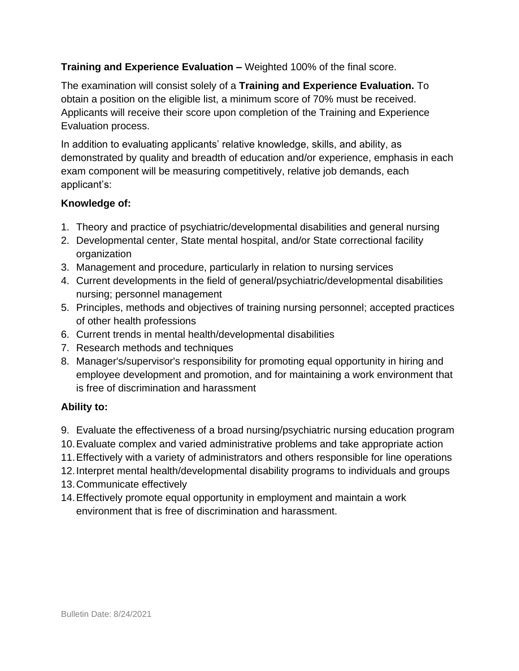#### **Training and Experience Evaluation –** Weighted 100% of the final score.

The examination will consist solely of a **Training and Experience Evaluation.** To obtain a position on the eligible list, a minimum score of 70% must be received. Applicants will receive their score upon completion of the Training and Experience Evaluation process.

In addition to evaluating applicants' relative knowledge, skills, and ability, as demonstrated by quality and breadth of education and/or experience, emphasis in each exam component will be measuring competitively, relative job demands, each applicant's:

#### **Knowledge of:**

- 1. Theory and practice of psychiatric/developmental disabilities and general nursing
- 2. Developmental center, State mental hospital, and/or State correctional facility organization
- 3. Management and procedure, particularly in relation to nursing services
- 4. Current developments in the field of general/psychiatric/developmental disabilities nursing; personnel management
- 5. Principles, methods and objectives of training nursing personnel; accepted practices of other health professions
- 6. Current trends in mental health/developmental disabilities
- 7. Research methods and techniques
- 8. Manager's/supervisor's responsibility for promoting equal opportunity in hiring and employee development and promotion, and for maintaining a work environment that is free of discrimination and harassment

#### **Ability to:**

- 9. Evaluate the effectiveness of a broad nursing/psychiatric nursing education program
- 10.Evaluate complex and varied administrative problems and take appropriate action
- 11.Effectively with a variety of administrators and others responsible for line operations
- 12.Interpret mental health/developmental disability programs to individuals and groups
- 13.Communicate effectively
- 14.Effectively promote equal opportunity in employment and maintain a work environment that is free of discrimination and harassment.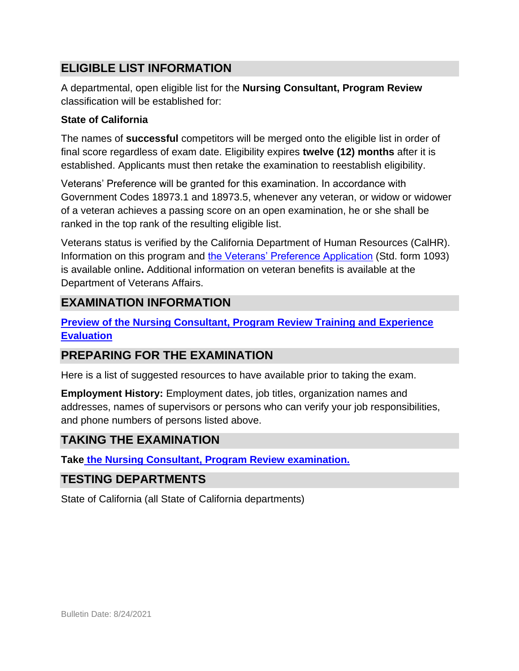## **ELIGIBLE LIST INFORMATION**

A departmental, open eligible list for the **Nursing Consultant, Program Review** classification will be established for:

#### **State of California**

The names of **successful** competitors will be merged onto the eligible list in order of final score regardless of exam date. Eligibility expires **twelve (12) months** after it is established. Applicants must then retake the examination to reestablish eligibility.

Veterans' Preference will be granted for this examination. In accordance with Government Codes 18973.1 and 18973.5, whenever any veteran, or widow or widower of a veteran achieves a passing score on an open examination, he or she shall be ranked in the top rank of the resulting eligible list.

Veterans status is verified by the California Department of Human Resources (CalHR). Information on this program and [the Veterans' Preference Application](https://www.jobs.ca.gov/CalHRPublic/Landing/Jobs/VeteransInformation.aspx) (Std. form 1093) is available online**.** Additional information on veteran benefits is available at the Department of Veterans Affairs.

## **EXAMINATION INFORMATION**

**[Preview of the Nursing Consultant, Program Review](https://jobs.ca.gov/jobsgen/0PBHKa.pdf) Training and Experience [Evaluation](https://jobs.ca.gov/jobsgen/0PBHKa.pdf)** 

## **PREPARING FOR THE EXAMINATION**

Here is a list of suggested resources to have available prior to taking the exam.

**Employment History:** Employment dates, job titles, organization names and addresses, names of supervisors or persons who can verify your job responsibilities, and phone numbers of persons listed above.

## **TAKING THE EXAMINATION**

**Take [the Nursing Consultant, Program Review](https://www.jobs.ca.gov/CalHRPublic/Login.aspx?ExamId=0PBHK) examination.**

## **TESTING DEPARTMENTS**

State of California (all State of California departments)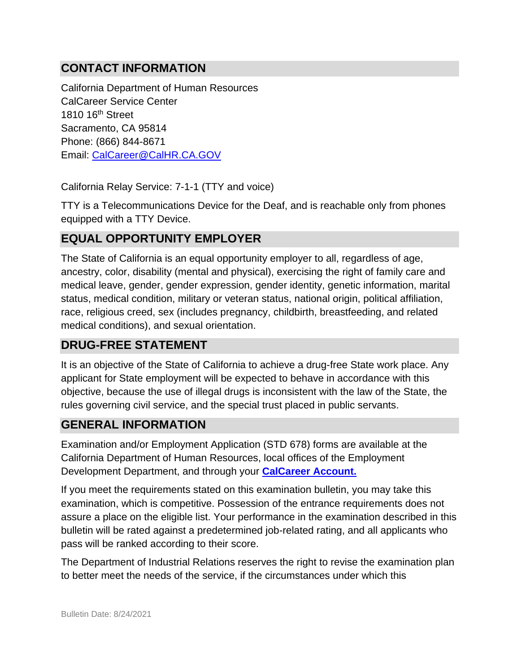## **CONTACT INFORMATION**

California Department of Human Resources CalCareer Service Center 1810 16th Street Sacramento, CA 95814 Phone: (866) 844-8671 Email: [CalCareer@CalHR.CA.GOV](mailto:CalCareer@CalHR.CA.GOV)

California Relay Service: 7-1-1 (TTY and voice)

TTY is a Telecommunications Device for the Deaf, and is reachable only from phones equipped with a TTY Device.

#### **EQUAL OPPORTUNITY EMPLOYER**

The State of California is an equal opportunity employer to all, regardless of age, ancestry, color, disability (mental and physical), exercising the right of family care and medical leave, gender, gender expression, gender identity, genetic information, marital status, medical condition, military or veteran status, national origin, political affiliation, race, religious creed, sex (includes pregnancy, childbirth, breastfeeding, and related medical conditions), and sexual orientation.

## **DRUG-FREE STATEMENT**

It is an objective of the State of California to achieve a drug-free State work place. Any applicant for State employment will be expected to behave in accordance with this objective, because the use of illegal drugs is inconsistent with the law of the State, the rules governing civil service, and the special trust placed in public servants.

#### **GENERAL INFORMATION**

Examination and/or Employment Application (STD 678) forms are available at the California Department of Human Resources, local offices of the Employment Development Department, and through your **[CalCareer Account.](http://www.jobs.ca.gov/)**

If you meet the requirements stated on this examination bulletin, you may take this examination, which is competitive. Possession of the entrance requirements does not assure a place on the eligible list. Your performance in the examination described in this bulletin will be rated against a predetermined job-related rating, and all applicants who pass will be ranked according to their score.

The Department of Industrial Relations reserves the right to revise the examination plan to better meet the needs of the service, if the circumstances under which this